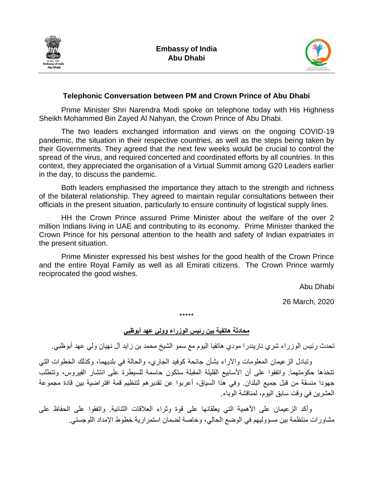



## **Telephonic Conversation between PM and Crown Prince of Abu Dhabi**

Prime Minister Shri Narendra Modi spoke on telephone today with His Highness Sheikh Mohammed Bin Zayed Al Nahyan, the Crown Prince of Abu Dhabi.

The two leaders exchanged information and views on the ongoing COVID-19 pandemic, the situation in their respective countries, as well as the steps being taken by their Governments. They agreed that the next few weeks would be crucial to control the spread of the virus, and required concerted and coordinated efforts by all countries. In this context, they appreciated the organisation of a Virtual Summit among G20 Leaders earlier in the day, to discuss the pandemic.

Both leaders emphasised the importance they attach to the strength and richness of the bilateral relationship. They agreed to maintain regular consultations between their officials in the present situation, particularly to ensure continuity of logistical supply lines.

HH the Crown Prince assured Prime Minister about the welfare of the over 2 million Indians living in UAE and contributing to its economy. Prime Minister thanked the Crown Prince for his personal attention to the health and safety of Indian expatriates in the present situation.

Prime Minister expressed his best wishes for the good health of the Crown Prince and the entire Royal Family as well as all Emirati citizens. The Crown Prince warmly reciprocated the good wishes.

Abu Dhabi

26 March, 2020

**محادثة هاتفية بين رئيس الوزراء وولي عهد أبوظبي**

\*\*\*\*\*

تحدث رئيس الوزراء شري ناريندرا مودي هاتفيا اليوم مع سمو الشيخ محمد بن زايد آل نهيان ولي عهد أبوظبي.

وتبادل الزعيمان المعلومات واآلراء بشأن جائحة كوفيد الجاري، والحالة في بلديهما، وكذلك الخطوات التي تتخذها حكومتهما. واتفقوا على أن األسابيع القليلة المقبلة ستكون حاسمة للسيطرة على انتشار الفيروس، وتتطلب جهودا منسقة من قبل جميع البلدان. وفي هذا السياق، أعربوا عن تقديرهم لتنظيم قمة افتراضية بين قادة مجموعة العشرين في وقت سابق اليوم، لمناقشة الوباء.

وأكد الزعيمان على الأهمية التي يعلقانها على قوة وثراء العلاقات الثنائية. واتفقوا على الحفاظ على مشاورات منتظمة بين مسؤوليهم في الوضع الحالي، وخاصة لضمان استمرارية خطوط اإلمداد اللوجستي.